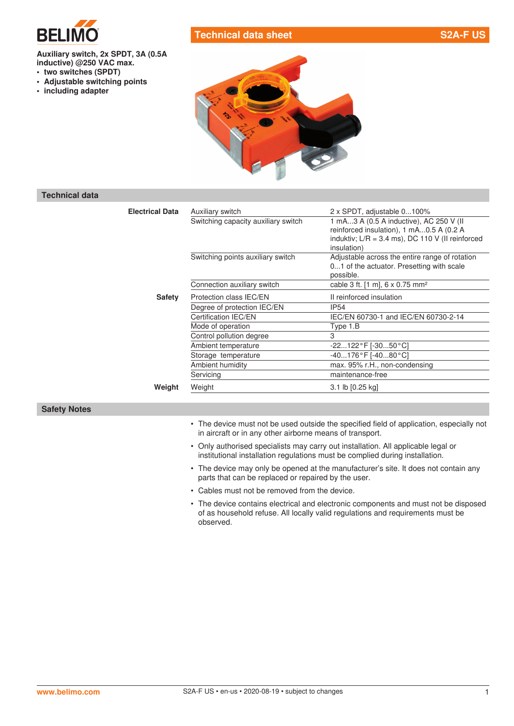

# **Technical data sheet S2A-F US**

**Auxiliary switch, 2x SPDT, 3A (0.5A inductive) @250 VAC max.**

- **• two switches (SPDT)**
- **• Adjustable switching points**
- **• including adapter**



# **Technical data**

| <b>Electrical Data</b> | Auxiliary switch                    | 2 x SPDT, adjustable 0100%                                                                                                                             |
|------------------------|-------------------------------------|--------------------------------------------------------------------------------------------------------------------------------------------------------|
|                        | Switching capacity auxiliary switch | 1 mA3 A (0.5 A inductive), AC 250 V (II<br>reinforced insulation), 1 mA0.5 A (0.2 A<br>induktiv; L/R = 3.4 ms), DC 110 V (II reinforced<br>insulation) |
|                        | Switching points auxiliary switch   | Adjustable across the entire range of rotation<br>01 of the actuator. Presetting with scale<br>possible.                                               |
|                        | Connection auxiliary switch         | cable 3 ft. [1 m], 6 x 0.75 mm <sup>2</sup>                                                                                                            |
| <b>Safety</b>          | Protection class IEC/EN             | Il reinforced insulation                                                                                                                               |
|                        | Degree of protection IEC/EN         | <b>IP54</b>                                                                                                                                            |
|                        | Certification IEC/EN                | IEC/EN 60730-1 and IEC/EN 60730-2-14                                                                                                                   |
|                        | Mode of operation                   | Type 1.B                                                                                                                                               |
|                        | Control pollution degree            | 3                                                                                                                                                      |
|                        | Ambient temperature                 | -22122°F [-3050°C]                                                                                                                                     |
|                        | Storage temperature                 | $-40176$ °F [ $-4080$ °C]                                                                                                                              |
|                        | Ambient humidity                    | max. 95% r.H., non-condensing                                                                                                                          |
|                        | Servicing                           | maintenance-free                                                                                                                                       |
| Weight                 | Weight                              | 3.1 lb [0.25 kg]                                                                                                                                       |

**Safety Notes**

- The device must not be used outside the specified field of application, especially not in aircraft or in any other airborne means of transport.
- Only authorised specialists may carry out installation. All applicable legal or institutional installation regulations must be complied during installation.
- The device may only be opened at the manufacturer's site. It does not contain any parts that can be replaced or repaired by the user.
- Cables must not be removed from the device.
- The device contains electrical and electronic components and must not be disposed of as household refuse. All locally valid regulations and requirements must be observed.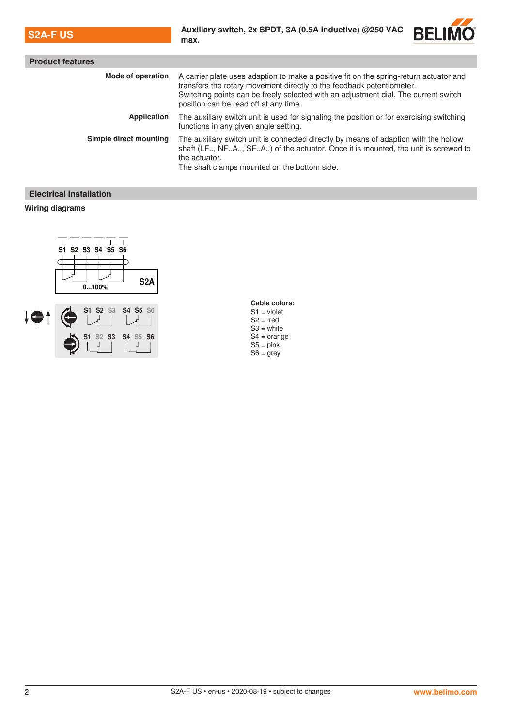

| <b>Product features</b> |                                                                                                                                                                                                                                                                                                 |  |
|-------------------------|-------------------------------------------------------------------------------------------------------------------------------------------------------------------------------------------------------------------------------------------------------------------------------------------------|--|
| Mode of operation       | A carrier plate uses adaption to make a positive fit on the spring-return actuator and<br>transfers the rotary movement directly to the feedback potentiometer.<br>Switching points can be freely selected with an adjustment dial. The current switch<br>position can be read off at any time. |  |
| Application             | The auxiliary switch unit is used for signaling the position or for exercising switching<br>functions in any given angle setting.                                                                                                                                                               |  |
| Simple direct mounting  | The auxiliary switch unit is connected directly by means of adaption with the hollow<br>shaft (LF, NFA, SFA) of the actuator. Once it is mounted, the unit is screwed to<br>the actuator.<br>The shaft clamps mounted on the bottom side.                                                       |  |

# **Electrical installation**

# **Wiring diagrams**



# **Cable colors:**

- S1 = violet
- S2 = red
- S3 = white S4 = orange
- $S5 = pink$
- $S6 = 0$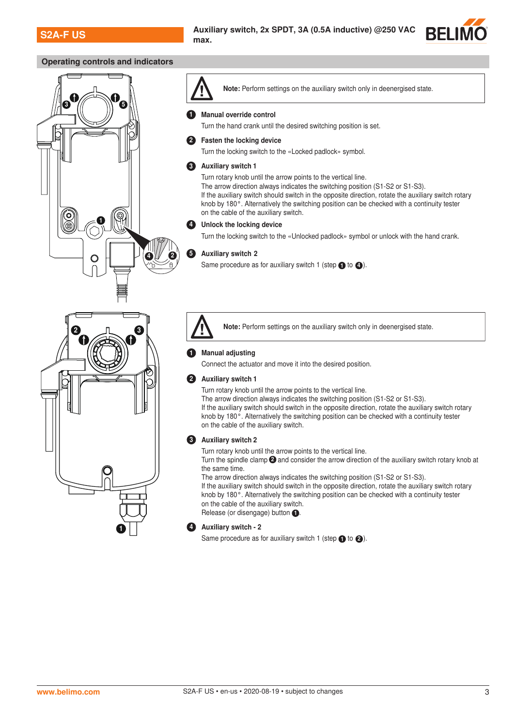

## **Operating controls and indicators**



# Note: Perform settings on the auxiliary switch only in deenergised state.

### **Manual override control**

Turn the hand crank until the desired switching position is set.

#### **Fasten the locking device**

Turn the locking switch to the «Locked padlock» symbol.

#### **3** Auxiliary switch 1

Turn rotary knob until the arrow points to the vertical line. The arrow direction always indicates the switching position (S1-S2 or S1-S3).

If the auxiliary switch should switch in the opposite direction, rotate the auxiliary switch rotary knob by 180°. Alternatively the switching position can be checked with a continuity tester on the cable of the auxiliary switch.

#### Unlock the locking device

Turn the locking switch to the «Unlocked padlock» symbol or unlock with the hand crank.

#### **5** Auxiliary switch 2

Same procedure as for auxiliary switch 1 (step  $\bigcirc$  to  $\bigcirc$ ).



Note: Perform settings on the auxiliary switch only in deenergised state.

## **Manual adjusting**

Connect the actuator and move it into the desired position.

#### 2 Auxiliary switch 1

Turn rotary knob until the arrow points to the vertical line.

The arrow direction always indicates the switching position (S1-S2 or S1-S3). If the auxiliary switch should switch in the opposite direction, rotate the auxiliary switch rotary knob by 180°. Alternatively the switching position can be checked with a continuity tester on the cable of the auxiliary switch.

## **3** Auxiliary switch 2

Turn rotary knob until the arrow points to the vertical line.

Turn the spindle clamp  $\bigcirc$  and consider the arrow direction of the auxiliary switch rotary knob at the same time.

The arrow direction always indicates the switching position (S1-S2 or S1-S3).

If the auxiliary switch should switch in the opposite direction, rotate the auxiliary switch rotary knob by 180°. Alternatively the switching position can be checked with a continuity tester on the cable of the auxiliary switch.

# Release (or disengage) button  $\bigcirc$ .

# 4 Auxiliary switch - 2

Same procedure as for auxiliary switch 1 (step  $\bigcirc$  to  $\bigcirc$ ).